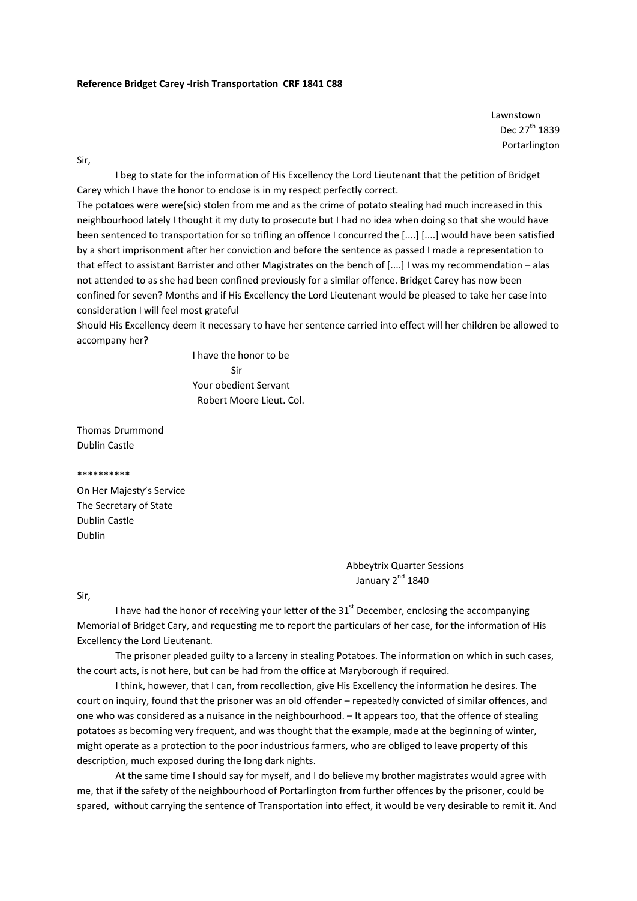Lawnstown Dec 27<sup>th</sup> 1839 Portarlington

Sir,

I beg to state for the information of His Excellency the Lord Lieutenant that the petition of Bridget Carey which I have the honor to enclose is in my respect perfectly correct.

The potatoes were were(sic) stolen from me and as the crime of potato stealing had much increased in this neighbourhood lately I thought it my duty to prosecute but I had no idea when doing so that she would have been sentenced to transportation for so trifling an offence I concurred the [....] [....] would have been satisfied by a short imprisonment after her conviction and before the sentence as passed I made a representation to that effect to assistant Barrister and other Magistrates on the bench of [....] I was my recommendation – alas not attended to as she had been confined previously for a similar offence. Bridget Carey has now been confined for seven? Months and if His Excellency the Lord Lieutenant would be pleased to take her case into consideration I will feel most grateful

Should His Excellency deem it necessary to have her sentence carried into effect will her children be allowed to accompany her?

 I have the honor to be Sir Your obedient Servant Robert Moore Lieut. Col.

Thomas Drummond Dublin Castle

\*\*\*\*\*\*\*\*\*\*

On Her Majesty's Service The Secretary of State Dublin Castle Dublin

> Abbeytrix Quarter Sessions January  $2^{nd}$  1840

Sir,

I have had the honor of receiving your letter of the  $31<sup>st</sup>$  December, enclosing the accompanying Memorial of Bridget Cary, and requesting me to report the particulars of her case, for the information of His Excellency the Lord Lieutenant.

The prisoner pleaded guilty to a larceny in stealing Potatoes. The information on which in such cases, the court acts, is not here, but can be had from the office at Maryborough if required.

I think, however, that I can, from recollection, give His Excellency the information he desires. The court on inquiry, found that the prisoner was an old offender – repeatedly convicted of similar offences, and one who was considered as a nuisance in the neighbourhood. – It appears too, that the offence of stealing potatoes as becoming very frequent, and was thought that the example, made at the beginning of winter, might operate as a protection to the poor industrious farmers, who are obliged to leave property of this description, much exposed during the long dark nights.

At the same time I should say for myself, and I do believe my brother magistrates would agree with me, that if the safety of the neighbourhood of Portarlington from further offences by the prisoner, could be spared, without carrying the sentence of Transportation into effect, it would be very desirable to remit it. And